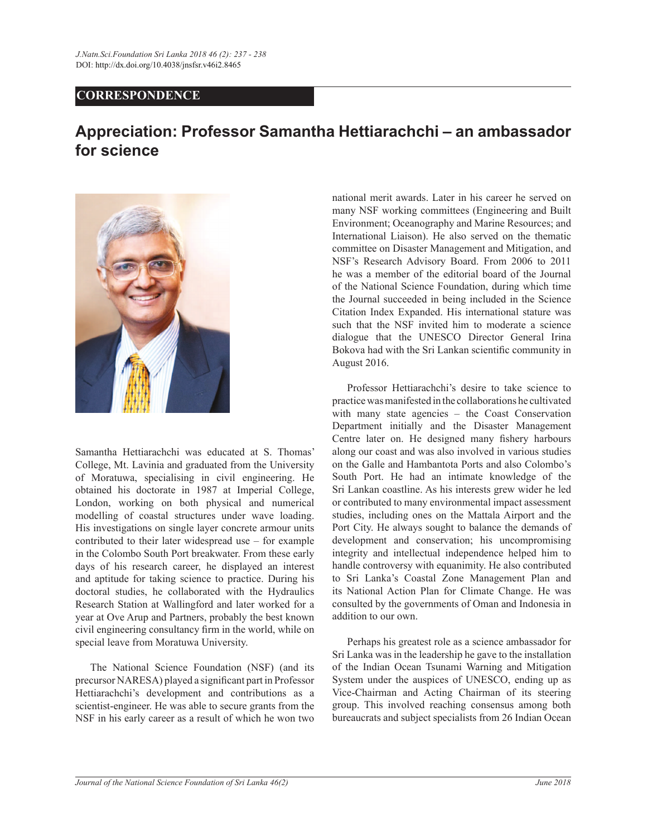## $CORRESPONDENCE$

## **Appreciation: Professor Samantha Hettiarachchi – an ambassador for science**



Samantha Hettiarachchi was educated at S. Thomas' College, Mt. Lavinia and graduated from the University of Moratuwa, specialising in civil engineering. He obtained his doctorate in 1987 at Imperial College, London, working on both physical and numerical modelling of coastal structures under wave loading. His investigations on single layer concrete armour units contributed to their later widespread use  $-$  for example in the Colombo South Port breakwater. From these early days of his research career, he displayed an interest and aptitude for taking science to practice. During his doctoral studies, he collaborated with the Hydraulics Research Station at Wallingford and later worked for a year at Ove Arup and Partners, probably the best known civil engineering consultancy firm in the world, while on special leave from Moratuwa University.

 The National Science Foundation (NSF) (and its precursor NARESA) played a significant part in Professor Hettiarachchi's development and contributions as a scientist-engineer. He was able to secure grants from the NSF in his early career as a result of which he won two national merit awards. Later in his career he served on many NSF working committees (Engineering and Built Environment; Oceanography and Marine Resources; and International Liaison). He also served on the thematic committee on Disaster Management and Mitigation, and NSF's Research Advisory Board. From 2006 to 2011 he was a member of the editorial board of the Journal of the National Science Foundation, during which time the Journal succeeded in being included in the Science Citation Index Expanded. His international stature was such that the NSF invited him to moderate a science dialogue that the UNESCO Director General Irina Bokova had with the Sri Lankan scientific community in August 2016.

Professor Hettiarachchi's desire to take science to practice was manifested in the collaborations he cultivated with many state agencies  $-$  the Coast Conservation Department initially and the Disaster Management Centre later on. He designed many fishery harbours along our coast and was also involved in various studies on the Galle and Hambantota Ports and also Colombo's South Port. He had an intimate knowledge of the Sri Lankan coastline. As his interests grew wider he led or contributed to many environmental impact assessment studies, including ones on the Mattala Airport and the Port City. He always sought to balance the demands of development and conservation; his uncompromising integrity and intellectual independence helped him to handle controversy with equanimity. He also contributed to Sri Lanka's Coastal Zone Management Plan and its National Action Plan for Climate Change. He was consulted by the governments of Oman and Indonesia in addition to our own.

Perhaps his greatest role as a science ambassador for Sri Lanka was in the leadership he gave to the installation of the Indian Ocean Tsunami Warning and Mitigation System under the auspices of UNESCO, ending up as Vice-Chairman and Acting Chairman of its steering group. This involved reaching consensus among both bureaucrats and subject specialists from 26 Indian Ocean